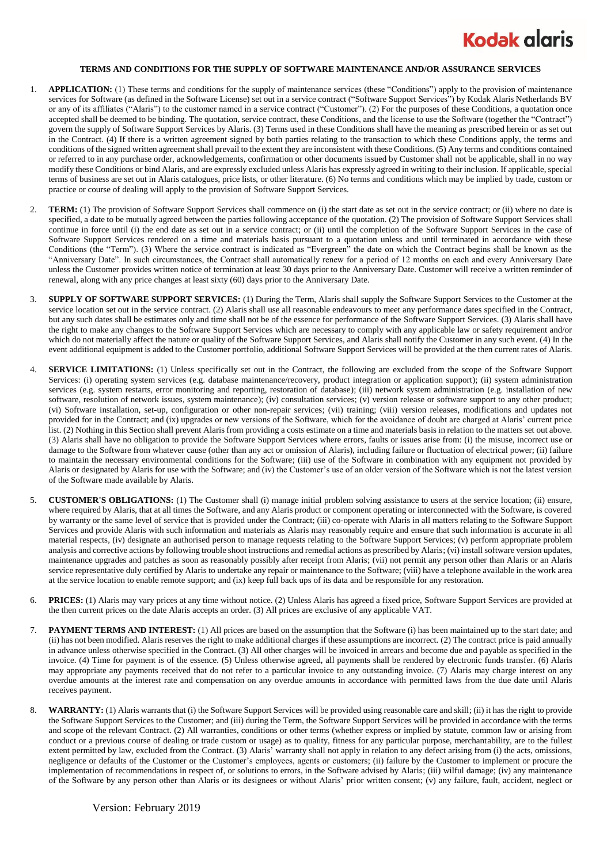## **Kodak glaris**

## **TERMS AND CONDITIONS FOR THE SUPPLY OF SOFTWARE MAINTENANCE AND/OR ASSURANCE SERVICES**

- 1. **APPLICATION:** (1) These terms and conditions for the supply of maintenance services (these "Conditions") apply to the provision of maintenance services for Software (as defined in the Software License) set out in a service contract ("Software Support Services") by Kodak Alaris Netherlands BV or any of its affiliates ("Alaris") to the customer named in a service contract ("Customer"). (2) For the purposes of these Conditions, a quotation once accepted shall be deemed to be binding. The quotation, service contract, these Conditions, and the license to use the Software (together the "Contract") govern the supply of Software Support Services by Alaris. (3) Terms used in these Conditions shall have the meaning as prescribed herein or as set out in the Contract. (4) If there is a written agreement signed by both parties relating to the transaction to which these Conditions apply, the terms and conditions of the signed written agreement shall prevail to the extent they are inconsistent with these Conditions. (5) Any terms and conditions contained or referred to in any purchase order, acknowledgements, confirmation or other documents issued by Customer shall not be applicable, shall in no way modify these Conditions or bind Alaris, and are expressly excluded unless Alaris has expressly agreed in writing to their inclusion. If applicable, special terms of business are set out in Alaris catalogues, price lists, or other literature. (6) No terms and conditions which may be implied by trade, custom or practice or course of dealing will apply to the provision of Software Support Services.
- 2. **TERM:** (1) The provision of Software Support Services shall commence on (i) the start date as set out in the service contract; or (ii) where no date is specified, a date to be mutually agreed between the parties following acceptance of the quotation. (2) The provision of Software Support Services shall continue in force until (i) the end date as set out in a service contract; or (ii) until the completion of the Software Support Services in the case of Software Support Services rendered on a time and materials basis pursuant to a quotation unless and until terminated in accordance with these Conditions (the "Term"). (3) Where the service contract is indicated as "Evergreen" the date on which the Contract begins shall be known as the "Anniversary Date". In such circumstances, the Contract shall automatically renew for a period of 12 months on each and every Anniversary Date unless the Customer provides written notice of termination at least 30 days prior to the Anniversary Date. Customer will receive a written reminder of renewal, along with any price changes at least sixty (60) days prior to the Anniversary Date.
- 3. **SUPPLY OF SOFTWARE SUPPORT SERVICES:** (1) During the Term, Alaris shall supply the Software Support Services to the Customer at the service location set out in the service contract. (2) Alaris shall use all reasonable endeavours to meet any performance dates specified in the Contract, but any such dates shall be estimates only and time shall not be of the essence for performance of the Software Support Services. (3) Alaris shall have the right to make any changes to the Software Support Services which are necessary to comply with any applicable law or safety requirement and/or which do not materially affect the nature or quality of the Software Support Services, and Alaris shall notify the Customer in any such event. (4) In the event additional equipment is added to the Customer portfolio, additional Software Support Services will be provided at the then current rates of Alaris.
- 4. **SERVICE LIMITATIONS:** (1) Unless specifically set out in the Contract, the following are excluded from the scope of the Software Support Services: (i) operating system services (e.g. database maintenance/recovery, product integration or application support); (ii) system administration services (e.g. system restarts, error monitoring and reporting, restoration of database); (iii) network system administration (e.g. installation of new software, resolution of network issues, system maintenance); (iv) consultation services; (v) version release or software support to any other product; (vi) Software installation, set-up, configuration or other non-repair services; (vii) training; (viii) version releases, modifications and updates not provided for in the Contract; and (ix) upgrades or new versions of the Software, which for the avoidance of doubt are charged at Alaris' current price list. (2) Nothing in this Section shall prevent Alaris from providing a costs estimate on a time and materials basis in relation to the matters set out above. (3) Alaris shall have no obligation to provide the Software Support Services where errors, faults or issues arise from: (i) the misuse, incorrect use or damage to the Software from whatever cause (other than any act or omission of Alaris), including failure or fluctuation of electrical power; (ii) failure to maintain the necessary environmental conditions for the Software; (iii) use of the Software in combination with any equipment not provided by Alaris or designated by Alaris for use with the Software; and (iv) the Customer's use of an older version of the Software which is not the latest version of the Software made available by Alaris.
- 5. **CUSTOMER'S OBLIGATIONS:** (1) The Customer shall (i) manage initial problem solving assistance to users at the service location; (ii) ensure, where required by Alaris, that at all times the Software, and any Alaris product or component operating or interconnected with the Software, is covered by warranty or the same level of service that is provided under the Contract; (iii) co-operate with Alaris in all matters relating to the Software Support Services and provide Alaris with such information and materials as Alaris may reasonably require and ensure that such information is accurate in all material respects, (iv) designate an authorised person to manage requests relating to the Software Support Services; (v) perform appropriate problem analysis and corrective actions by following trouble shoot instructions and remedial actions as prescribed by Alaris; (vi) install software version updates, maintenance upgrades and patches as soon as reasonably possibly after receipt from Alaris; (vii) not permit any person other than Alaris or an Alaris service representative duly certified by Alaris to undertake any repair or maintenance to the Software; (viii) have a telephone available in the work area at the service location to enable remote support; and (ix) keep full back ups of its data and be responsible for any restoration.
- 6. **PRICES:** (1) Alaris may vary prices at any time without notice. (2) Unless Alaris has agreed a fixed price, Software Support Services are provided at the then current prices on the date Alaris accepts an order. (3) All prices are exclusive of any applicable VAT.
- 7. **PAYMENT TERMS AND INTEREST:** (1) All prices are based on the assumption that the Software (i) has been maintained up to the start date; and (ii) has not been modified. Alaris reserves the right to make additional charges if these assumptions are incorrect. (2) The contract price is paid annually in advance unless otherwise specified in the Contract. (3) All other charges will be invoiced in arrears and become due and payable as specified in the invoice. (4) Time for payment is of the essence. (5) Unless otherwise agreed, all payments shall be rendered by electronic funds transfer. (6) Alaris may appropriate any payments received that do not refer to a particular invoice to any outstanding invoice. (7) Alaris may charge interest on any overdue amounts at the interest rate and compensation on any overdue amounts in accordance with permitted laws from the due date until Alaris receives payment.
- WARRANTY: (1) Alaris warrants that (i) the Software Support Services will be provided using reasonable care and skill; (ii) it has the right to provide the Software Support Services to the Customer; and (iii) during the Term, the Software Support Services will be provided in accordance with the terms and scope of the relevant Contract. (2) All warranties, conditions or other terms (whether express or implied by statute, common law or arising from conduct or a previous course of dealing or trade custom or usage) as to quality, fitness for any particular purpose, merchantability, are to the fullest extent permitted by law, excluded from the Contract. (3) Alaris' warranty shall not apply in relation to any defect arising from (i) the acts, omissions, negligence or defaults of the Customer or the Customer's employees, agents or customers; (ii) failure by the Customer to implement or procure the implementation of recommendations in respect of, or solutions to errors, in the Software advised by Alaris; (iii) wilful damage; (iv) any maintenance of the Software by any person other than Alaris or its designees or without Alaris' prior written consent; (v) any failure, fault, accident, neglect or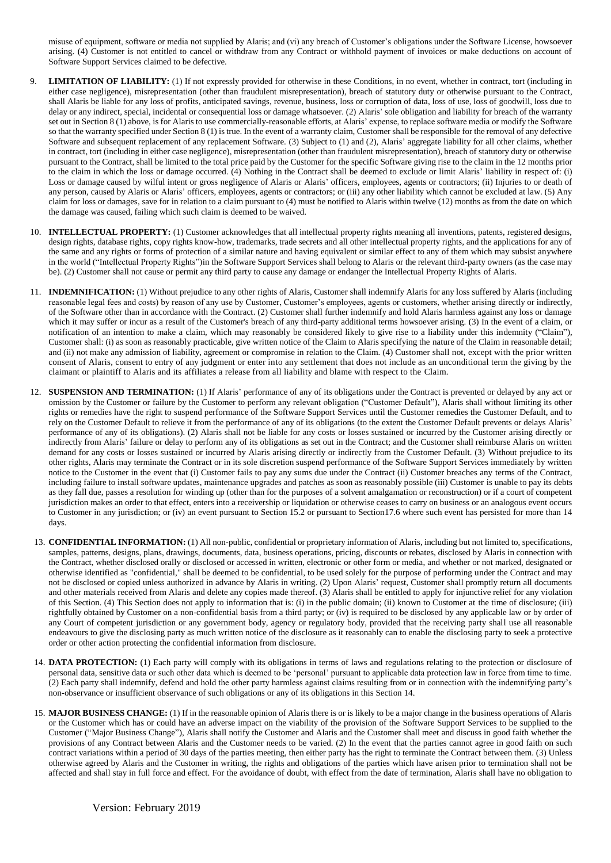misuse of equipment, software or media not supplied by Alaris; and (vi) any breach of Customer's obligations under the Software License, howsoever arising. (4) Customer is not entitled to cancel or withdraw from any Contract or withhold payment of invoices or make deductions on account of Software Support Services claimed to be defective.

- 9. **LIMITATION OF LIABILITY:** (1) If not expressly provided for otherwise in these Conditions, in no event, whether in contract, tort (including in either case negligence), misrepresentation (other than fraudulent misrepresentation), breach of statutory duty or otherwise pursuant to the Contract, shall Alaris be liable for any loss of profits, anticipated savings, revenue, business, loss or corruption of data, loss of use, loss of goodwill, loss due to delay or any indirect, special, incidental or consequential loss or damage whatsoever. (2) Alaris' sole obligation and liability for breach of the warranty set out in Section 8 (1) above, is for Alaris to use commercially-reasonable efforts, at Alaris' expense, to replace software media or modify the Software so that the warranty specified under Section 8 (1) is true. In the event of a warranty claim, Customer shall be responsible for the removal of any defective Software and subsequent replacement of any replacement Software. (3) Subject to (1) and (2), Alaris' aggregate liability for all other claims, whether in contract, tort (including in either case negligence), misrepresentation (other than fraudulent misrepresentation), breach of statutory duty or otherwise pursuant to the Contract, shall be limited to the total price paid by the Customer for the specific Software giving rise to the claim in the 12 months prior to the claim in which the loss or damage occurred. (4) Nothing in the Contract shall be deemed to exclude or limit Alaris' liability in respect of: (i) Loss or damage caused by wilful intent or gross negligence of Alaris or Alaris' officers, employees, agents or contractors; (ii) Injuries to or death of any person, caused by Alaris or Alaris' officers, employees, agents or contractors; or (iii) any other liability which cannot be excluded at law. (5) Any claim for loss or damages, save for in relation to a claim pursuant to (4) must be notified to Alaris within twelve (12) months as from the date on which the damage was caused, failing which such claim is deemed to be waived.
- 10. **INTELLECTUAL PROPERTY:** (1) Customer acknowledges that all intellectual property rights meaning all inventions, patents, registered designs, design rights, database rights, copy rights know-how, trademarks, trade secrets and all other intellectual property rights, and the applications for any of the same and any rights or forms of protection of a similar nature and having equivalent or similar effect to any of them which may subsist anywhere in the world ("Intellectual Property Rights")in the Software Support Services shall belong to Alaris or the relevant third-party owners (as the case may be). (2) Customer shall not cause or permit any third party to cause any damage or endanger the Intellectual Property Rights of Alaris.
- 11. **INDEMNIFICATION:** (1) Without prejudice to any other rights of Alaris, Customer shall indemnify Alaris for any loss suffered by Alaris (including reasonable legal fees and costs) by reason of any use by Customer, Customer's employees, agents or customers, whether arising directly or indirectly, of the Software other than in accordance with the Contract. (2) Customer shall further indemnify and hold Alaris harmless against any loss or damage which it may suffer or incur as a result of the Customer's breach of any third-party additional terms howsoever arising. (3) In the event of a claim, or notification of an intention to make a claim, which may reasonably be considered likely to give rise to a liability under this indemnity ("Claim"), Customer shall: (i) as soon as reasonably practicable, give written notice of the Claim to Alaris specifying the nature of the Claim in reasonable detail; and (ii) not make any admission of liability, agreement or compromise in relation to the Claim. (4) Customer shall not, except with the prior written consent of Alaris, consent to entry of any judgment or enter into any settlement that does not include as an unconditional term the giving by the claimant or plaintiff to Alaris and its affiliates a release from all liability and blame with respect to the Claim.
- 12. **SUSPENSION AND TERMINATION:** (1) If Alaris' performance of any of its obligations under the Contract is prevented or delayed by any act or omission by the Customer or failure by the Customer to perform any relevant obligation ("Customer Default"), Alaris shall without limiting its other rights or remedies have the right to suspend performance of the Software Support Services until the Customer remedies the Customer Default, and to rely on the Customer Default to relieve it from the performance of any of its obligations (to the extent the Customer Default prevents or delays Alaris' performance of any of its obligations). (2) Alaris shall not be liable for any costs or losses sustained or incurred by the Customer arising directly or indirectly from Alaris' failure or delay to perform any of its obligations as set out in the Contract; and the Customer shall reimburse Alaris on written demand for any costs or losses sustained or incurred by Alaris arising directly or indirectly from the Customer Default. (3) Without prejudice to its other rights, Alaris may terminate the Contract or in its sole discretion suspend performance of the Software Support Services immediately by written notice to the Customer in the event that (i) Customer fails to pay any sums due under the Contract (ii) Customer breaches any terms of the Contract, including failure to install software updates, maintenance upgrades and patches as soon as reasonably possible (iii) Customer is unable to pay its debts as they fall due, passes a resolution for winding up (other than for the purposes of a solvent amalgamation or reconstruction) or if a court of competent jurisdiction makes an order to that effect, enters into a receivership or liquidation or otherwise ceases to carry on business or an analogous event occurs to Customer in any jurisdiction; or (iv) an event pursuant to Section 15.2 or pursuant to Section 17.6 where such event has persisted for more than 14 days.
- 13. **CONFIDENTIAL INFORMATION:** (1) All non-public, confidential or proprietary information of Alaris, including but not limited to, specifications, samples, patterns, designs, plans, drawings, documents, data, business operations, pricing, discounts or rebates, disclosed by Alaris in connection with the Contract, whether disclosed orally or disclosed or accessed in written, electronic or other form or media, and whether or not marked, designated or otherwise identified as "confidential," shall be deemed to be confidential, to be used solely for the purpose of performing under the Contract and may not be disclosed or copied unless authorized in advance by Alaris in writing. (2) Upon Alaris' request, Customer shall promptly return all documents and other materials received from Alaris and delete any copies made thereof. (3) Alaris shall be entitled to apply for injunctive relief for any violation of this Section. (4) This Section does not apply to information that is: (i) in the public domain; (ii) known to Customer at the time of disclosure; (iii) rightfully obtained by Customer on a non-confidential basis from a third party; or (iv) is required to be disclosed by any applicable law or by order of any Court of competent jurisdiction or any government body, agency or regulatory body, provided that the receiving party shall use all reasonable endeavours to give the disclosing party as much written notice of the disclosure as it reasonably can to enable the disclosing party to seek a protective order or other action protecting the confidential information from disclosure.
- 14. **DATA PROTECTION:** (1) Each party will comply with its obligations in terms of laws and regulations relating to the protection or disclosure of personal data, sensitive data or such other data which is deemed to be 'personal' pursuant to applicable data protection law in force from time to time. (2) Each party shall indemnify, defend and hold the other party harmless against claims resulting from or in connection with the indemnifying party's non-observance or insufficient observance of such obligations or any of its obligations in this Section 14.
- 15. **MAJOR BUSINESS CHANGE:** (1) If in the reasonable opinion of Alaris there is or is likely to be a major change in the business operations of Alaris or the Customer which has or could have an adverse impact on the viability of the provision of the Software Support Services to be supplied to the Customer ("Major Business Change"), Alaris shall notify the Customer and Alaris and the Customer shall meet and discuss in good faith whether the provisions of any Contract between Alaris and the Customer needs to be varied. (2) In the event that the parties cannot agree in good faith on such contract variations within a period of 30 days of the parties meeting, then either party has the right to terminate the Contract between them. (3) Unless otherwise agreed by Alaris and the Customer in writing, the rights and obligations of the parties which have arisen prior to termination shall not be affected and shall stay in full force and effect. For the avoidance of doubt, with effect from the date of termination, Alaris shall have no obligation to